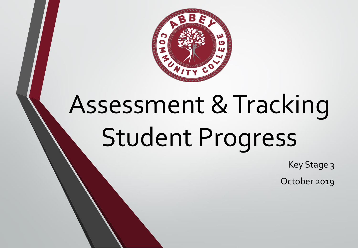

# Assessment & Tracking Student Progress

Key Stage 3

October 2019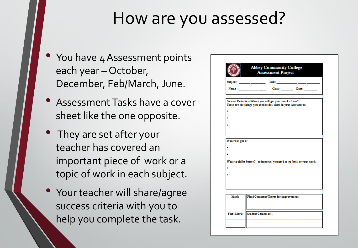### How are you assessed?

- You have 4 Assessment points each year – October, December, Feb/March, June.
- Assessment Tasks have a cover sheet like the one opposite.
- They are set after your teacher has covered an important piece of work or a topic of work in each subject.
- Your teacher will share/agree success criteria with you to help you complete the task. Final Mark Student Comment:

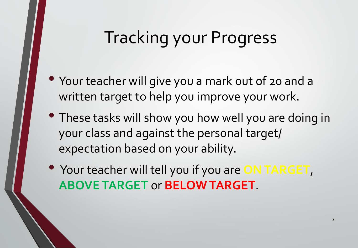#### Tracking your Progress

- Your teacher will give you a mark out of 20 and a written target to help you improve your work.
- These tasks will show you how well you are doing in your class and against the personal target/ expectation based on your ability.
- Your teacher will tell you if you are **ON TARGET**, **ABOVE TARGET** or **BELOW TARGET**.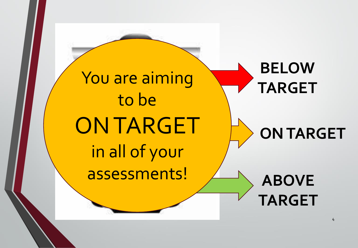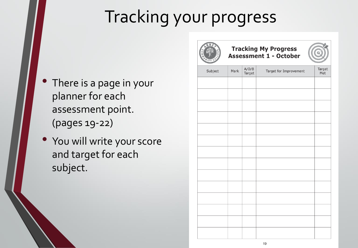## Tracking your progress

- There is a page in your planner for each assessment point. (pages 19-22)
- You will write your score and target for each subject.

![](_page_4_Picture_3.jpeg)

**Tracking My Progress Assessment 1 - October** 

![](_page_4_Picture_5.jpeg)

| <b>Burnage</b> |      |                 |                        |               |
|----------------|------|-----------------|------------------------|---------------|
| Subject        | Mark | A/O/B<br>Target | Target for Improvement | Target<br>Met |
|                |      |                 |                        |               |
|                |      |                 |                        |               |
|                |      |                 |                        |               |
|                |      |                 |                        |               |
|                |      |                 |                        |               |
|                |      |                 |                        |               |
|                |      |                 |                        |               |
|                |      |                 |                        |               |
|                |      |                 |                        |               |
|                |      |                 |                        |               |
|                |      |                 |                        |               |
|                |      |                 |                        |               |
|                |      |                 |                        |               |
|                |      |                 |                        |               |